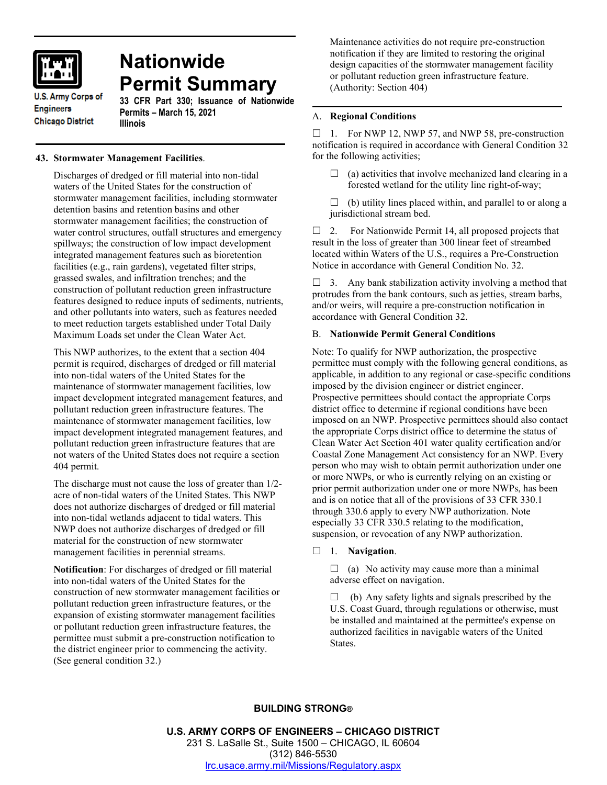

# **Nationwide Permit Summary**

**U.S. Army Corps of Engineers Chicago District** 

## **33 CFR Part 330; Issuance of Nationwide Permits – March 15, 2021 Illinois**

# **43. Stormwater Management Facilities**.

Discharges of dredged or fill material into non-tidal waters of the United States for the construction of stormwater management facilities, including stormwater detention basins and retention basins and other stormwater management facilities; the construction of water control structures, outfall structures and emergency spillways; the construction of low impact development integrated management features such as bioretention facilities (e.g., rain gardens), vegetated filter strips, grassed swales, and infiltration trenches; and the construction of pollutant reduction green infrastructure features designed to reduce inputs of sediments, nutrients, and other pollutants into waters, such as features needed to meet reduction targets established under Total Daily Maximum Loads set under the Clean Water Act.

This NWP authorizes, to the extent that a section 404 permit is required, discharges of dredged or fill material into non-tidal waters of the United States for the maintenance of stormwater management facilities, low impact development integrated management features, and pollutant reduction green infrastructure features. The maintenance of stormwater management facilities, low impact development integrated management features, and pollutant reduction green infrastructure features that are not waters of the United States does not require a section 404 permit.

The discharge must not cause the loss of greater than 1/2 acre of non-tidal waters of the United States. This NWP does not authorize discharges of dredged or fill material into non-tidal wetlands adjacent to tidal waters. This NWP does not authorize discharges of dredged or fill material for the construction of new stormwater management facilities in perennial streams.

**Notification**: For discharges of dredged or fill material into non-tidal waters of the United States for the construction of new stormwater management facilities or pollutant reduction green infrastructure features, or the expansion of existing stormwater management facilities or pollutant reduction green infrastructure features, the permittee must submit a pre-construction notification to the district engineer prior to commencing the activity. (See general condition 32.)

Maintenance activities do not require pre-construction notification if they are limited to restoring the original design capacities of the stormwater management facility or pollutant reduction green infrastructure feature. (Authority: Section 404)

# A. **Regional Conditions**

 $\Box$  1. For NWP 12, NWP 57, and NWP 58, pre-construction notification is required in accordance with General Condition 32 for the following activities;

 $\Box$  (a) activities that involve mechanized land clearing in a forested wetland for the utility line right-of-way;

 $\Box$  (b) utility lines placed within, and parallel to or along a jurisdictional stream bed.

 $\Box$  2. For Nationwide Permit 14, all proposed projects that result in the loss of greater than 300 linear feet of streambed located within Waters of the U.S., requires a Pre-Construction Notice in accordance with General Condition No. 32.

 $\Box$  3. Any bank stabilization activity involving a method that protrudes from the bank contours, such as jetties, stream barbs, and/or weirs, will require a pre-construction notification in accordance with General Condition 32.

# B. **Nationwide Permit General Conditions**

Note: To qualify for NWP authorization, the prospective permittee must comply with the following general conditions, as applicable, in addition to any regional or case-specific conditions imposed by the division engineer or district engineer. Prospective permittees should contact the appropriate Corps district office to determine if regional conditions have been imposed on an NWP. Prospective permittees should also contact the appropriate Corps district office to determine the status of Clean Water Act Section 401 water quality certification and/or Coastal Zone Management Act consistency for an NWP. Every person who may wish to obtain permit authorization under one or more NWPs, or who is currently relying on an existing or prior permit authorization under one or more NWPs, has been and is on notice that all of the provisions of 33 CFR 330.1 through 330.6 apply to every NWP authorization. Note especially 33 CFR 330.5 relating to the modification, suspension, or revocation of any NWP authorization.

1. **Navigation**.

 $\Box$  (a) No activity may cause more than a minimal adverse effect on navigation.

 $\Box$  (b) Any safety lights and signals prescribed by the U.S. Coast Guard, through regulations or otherwise, must be installed and maintained at the permittee's expense on authorized facilities in navigable waters of the United States.

# **BUILDING STRONG®**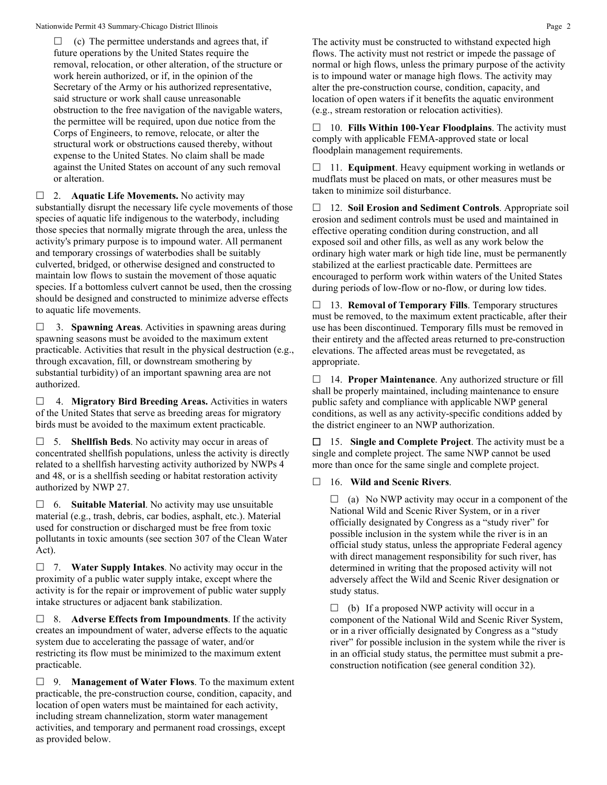$\Box$  (c) The permittee understands and agrees that, if future operations by the United States require the removal, relocation, or other alteration, of the structure or work herein authorized, or if, in the opinion of the Secretary of the Army or his authorized representative, said structure or work shall cause unreasonable obstruction to the free navigation of the navigable waters, the permittee will be required, upon due notice from the Corps of Engineers, to remove, relocate, or alter the structural work or obstructions caused thereby, without expense to the United States. No claim shall be made against the United States on account of any such removal or alteration.

□ 2. **Aquatic Life Movements.** No activity may substantially disrupt the necessary life cycle movements of those species of aquatic life indigenous to the waterbody, including those species that normally migrate through the area, unless the activity's primary purpose is to impound water. All permanent and temporary crossings of waterbodies shall be suitably culverted, bridged, or otherwise designed and constructed to maintain low flows to sustain the movement of those aquatic species. If a bottomless culvert cannot be used, then the crossing should be designed and constructed to minimize adverse effects to aquatic life movements.

 3. **Spawning Areas**. Activities in spawning areas during spawning seasons must be avoided to the maximum extent practicable. Activities that result in the physical destruction (e.g., through excavation, fill, or downstream smothering by substantial turbidity) of an important spawning area are not authorized.

 4. **Migratory Bird Breeding Areas.** Activities in waters of the United States that serve as breeding areas for migratory birds must be avoided to the maximum extent practicable.

 5. **Shellfish Beds**. No activity may occur in areas of concentrated shellfish populations, unless the activity is directly related to a shellfish harvesting activity authorized by NWPs 4 and 48, or is a shellfish seeding or habitat restoration activity authorized by NWP 27.

 6. **Suitable Material**. No activity may use unsuitable material (e.g., trash, debris, car bodies, asphalt, etc.). Material used for construction or discharged must be free from toxic pollutants in toxic amounts (see section 307 of the Clean Water Act).

 7. **Water Supply Intakes**. No activity may occur in the proximity of a public water supply intake, except where the activity is for the repair or improvement of public water supply intake structures or adjacent bank stabilization.

 8. **Adverse Effects from Impoundments**. If the activity creates an impoundment of water, adverse effects to the aquatic system due to accelerating the passage of water, and/or restricting its flow must be minimized to the maximum extent practicable.

 9. **Management of Water Flows**. To the maximum extent practicable, the pre-construction course, condition, capacity, and location of open waters must be maintained for each activity, including stream channelization, storm water management activities, and temporary and permanent road crossings, except as provided below.

The activity must be constructed to withstand expected high flows. The activity must not restrict or impede the passage of normal or high flows, unless the primary purpose of the activity is to impound water or manage high flows. The activity may alter the pre-construction course, condition, capacity, and location of open waters if it benefits the aquatic environment (e.g., stream restoration or relocation activities).

 10. **Fills Within 100-Year Floodplains**. The activity must comply with applicable FEMA-approved state or local floodplain management requirements.

□ 11. **Equipment**. Heavy equipment working in wetlands or mudflats must be placed on mats, or other measures must be taken to minimize soil disturbance.

 12. **Soil Erosion and Sediment Controls**. Appropriate soil erosion and sediment controls must be used and maintained in effective operating condition during construction, and all exposed soil and other fills, as well as any work below the ordinary high water mark or high tide line, must be permanently stabilized at the earliest practicable date. Permittees are encouraged to perform work within waters of the United States during periods of low-flow or no-flow, or during low tides.

 13. **Removal of Temporary Fills**. Temporary structures must be removed, to the maximum extent practicable, after their use has been discontinued. Temporary fills must be removed in their entirety and the affected areas returned to pre-construction elevations. The affected areas must be revegetated, as appropriate.

 14. **Proper Maintenance**. Any authorized structure or fill shall be properly maintained, including maintenance to ensure public safety and compliance with applicable NWP general conditions, as well as any activity-specific conditions added by the district engineer to an NWP authorization.

 15. **Single and Complete Project**. The activity must be a single and complete project. The same NWP cannot be used more than once for the same single and complete project.

16. **Wild and Scenic Rivers**.

 $\Box$  (a) No NWP activity may occur in a component of the National Wild and Scenic River System, or in a river officially designated by Congress as a "study river" for possible inclusion in the system while the river is in an official study status, unless the appropriate Federal agency with direct management responsibility for such river, has determined in writing that the proposed activity will not adversely affect the Wild and Scenic River designation or study status.

 $\Box$  (b) If a proposed NWP activity will occur in a component of the National Wild and Scenic River System, or in a river officially designated by Congress as a "study river" for possible inclusion in the system while the river is in an official study status, the permittee must submit a preconstruction notification (see general condition 32).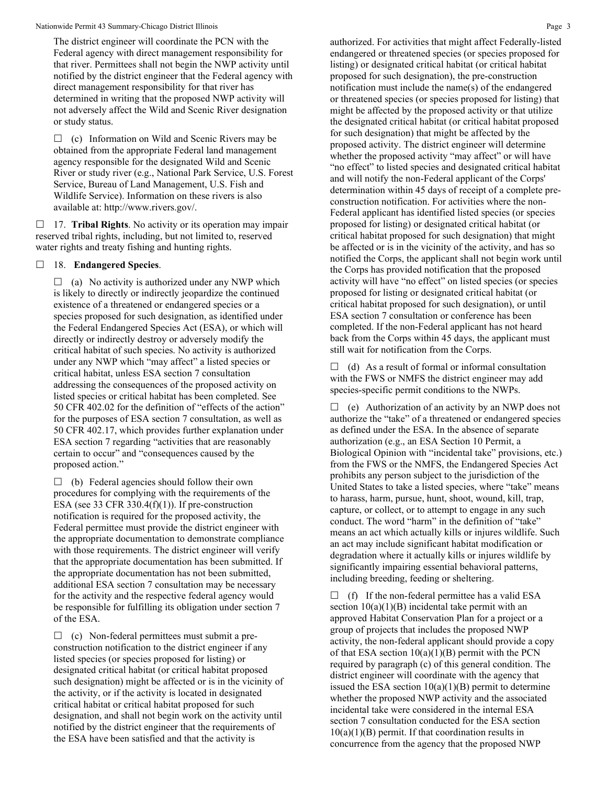The district engineer will coordinate the PCN with the Federal agency with direct management responsibility for that river. Permittees shall not begin the NWP activity until notified by the district engineer that the Federal agency with direct management responsibility for that river has determined in writing that the proposed NWP activity will not adversely affect the Wild and Scenic River designation or study status.

 $\Box$  (c) Information on Wild and Scenic Rivers may be obtained from the appropriate Federal land management agency responsible for the designated Wild and Scenic River or study river (e.g., National Park Service, U.S. Forest Service, Bureau of Land Management, U.S. Fish and Wildlife Service). Information on these rivers is also available at: http://www.rivers.gov/.

 17. **Tribal Rights**. No activity or its operation may impair reserved tribal rights, including, but not limited to, reserved water rights and treaty fishing and hunting rights.

# 18. **Endangered Species**.

 $\Box$  (a) No activity is authorized under any NWP which is likely to directly or indirectly jeopardize the continued existence of a threatened or endangered species or a species proposed for such designation, as identified under the Federal Endangered Species Act (ESA), or which will directly or indirectly destroy or adversely modify the critical habitat of such species. No activity is authorized under any NWP which "may affect" a listed species or critical habitat, unless ESA section 7 consultation addressing the consequences of the proposed activity on listed species or critical habitat has been completed. See 50 CFR 402.02 for the definition of "effects of the action" for the purposes of ESA section 7 consultation, as well as 50 CFR 402.17, which provides further explanation under ESA section 7 regarding "activities that are reasonably certain to occur" and "consequences caused by the proposed action."

 $\Box$  (b) Federal agencies should follow their own procedures for complying with the requirements of the ESA (see 33 CFR 330.4 $(f)(1)$ ). If pre-construction notification is required for the proposed activity, the Federal permittee must provide the district engineer with the appropriate documentation to demonstrate compliance with those requirements. The district engineer will verify that the appropriate documentation has been submitted. If the appropriate documentation has not been submitted, additional ESA section 7 consultation may be necessary for the activity and the respective federal agency would be responsible for fulfilling its obligation under section 7 of the ESA.

 $\Box$  (c) Non-federal permittees must submit a preconstruction notification to the district engineer if any listed species (or species proposed for listing) or designated critical habitat (or critical habitat proposed such designation) might be affected or is in the vicinity of the activity, or if the activity is located in designated critical habitat or critical habitat proposed for such designation, and shall not begin work on the activity until notified by the district engineer that the requirements of the ESA have been satisfied and that the activity is

authorized. For activities that might affect Federally-listed endangered or threatened species (or species proposed for listing) or designated critical habitat (or critical habitat proposed for such designation), the pre-construction notification must include the name(s) of the endangered or threatened species (or species proposed for listing) that might be affected by the proposed activity or that utilize the designated critical habitat (or critical habitat proposed for such designation) that might be affected by the proposed activity. The district engineer will determine whether the proposed activity "may affect" or will have "no effect" to listed species and designated critical habitat and will notify the non-Federal applicant of the Corps' determination within 45 days of receipt of a complete preconstruction notification. For activities where the non-Federal applicant has identified listed species (or species proposed for listing) or designated critical habitat (or critical habitat proposed for such designation) that might be affected or is in the vicinity of the activity, and has so notified the Corps, the applicant shall not begin work until the Corps has provided notification that the proposed activity will have "no effect" on listed species (or species proposed for listing or designated critical habitat (or critical habitat proposed for such designation), or until ESA section 7 consultation or conference has been completed. If the non-Federal applicant has not heard back from the Corps within 45 days, the applicant must still wait for notification from the Corps.

 $\Box$  (d) As a result of formal or informal consultation with the FWS or NMFS the district engineer may add species-specific permit conditions to the NWPs.

 $\Box$  (e) Authorization of an activity by an NWP does not authorize the "take" of a threatened or endangered species as defined under the ESA. In the absence of separate authorization (e.g., an ESA Section 10 Permit, a Biological Opinion with "incidental take" provisions, etc.) from the FWS or the NMFS, the Endangered Species Act prohibits any person subject to the jurisdiction of the United States to take a listed species, where "take" means to harass, harm, pursue, hunt, shoot, wound, kill, trap, capture, or collect, or to attempt to engage in any such conduct. The word "harm" in the definition of "take" means an act which actually kills or injures wildlife. Such an act may include significant habitat modification or degradation where it actually kills or injures wildlife by significantly impairing essential behavioral patterns, including breeding, feeding or sheltering.

 $\Box$  (f) If the non-federal permittee has a valid ESA section  $10(a)(1)(B)$  incidental take permit with an approved Habitat Conservation Plan for a project or a group of projects that includes the proposed NWP activity, the non-federal applicant should provide a copy of that ESA section  $10(a)(1)(B)$  permit with the PCN required by paragraph (c) of this general condition. The district engineer will coordinate with the agency that issued the ESA section  $10(a)(1)(B)$  permit to determine whether the proposed NWP activity and the associated incidental take were considered in the internal ESA section 7 consultation conducted for the ESA section  $10(a)(1)(B)$  permit. If that coordination results in concurrence from the agency that the proposed NWP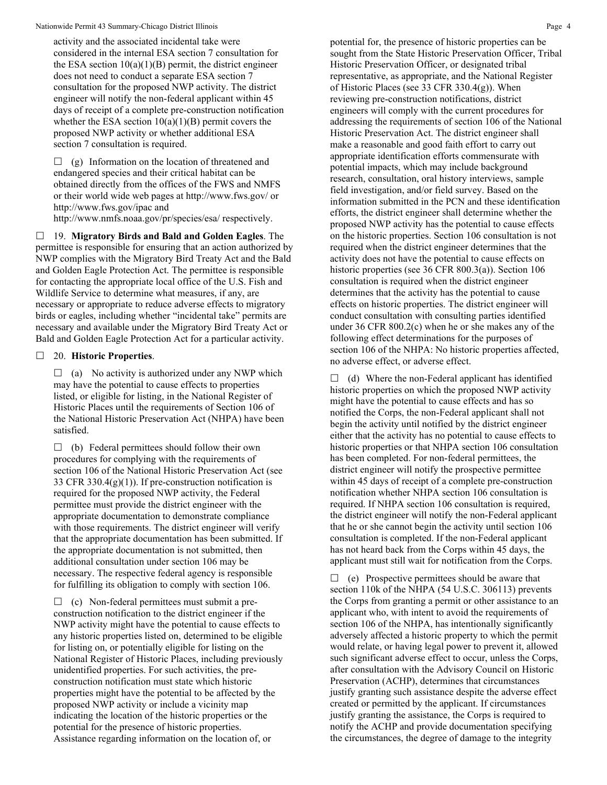activity and the associated incidental take were considered in the internal ESA section 7 consultation for the ESA section  $10(a)(1)(B)$  permit, the district engineer does not need to conduct a separate ESA section 7 consultation for the proposed NWP activity. The district engineer will notify the non-federal applicant within 45 days of receipt of a complete pre-construction notification whether the ESA section  $10(a)(1)(B)$  permit covers the proposed NWP activity or whether additional ESA section 7 consultation is required.

 $\Box$  (g) Information on the location of threatened and endangered species and their critical habitat can be obtained directly from the offices of the FWS and NMFS or their world wide web pages at http://www.fws.gov/ or http://www.fws.gov/ipac and http://www.nmfs.noaa.gov/pr/species/esa/ respectively.

 19. **Migratory Birds and Bald and Golden Eagles**. The permittee is responsible for ensuring that an action authorized by NWP complies with the Migratory Bird Treaty Act and the Bald and Golden Eagle Protection Act. The permittee is responsible for contacting the appropriate local office of the U.S. Fish and Wildlife Service to determine what measures, if any, are necessary or appropriate to reduce adverse effects to migratory birds or eagles, including whether "incidental take" permits are necessary and available under the Migratory Bird Treaty Act or Bald and Golden Eagle Protection Act for a particular activity.

#### 20. **Historic Properties**.

 $\Box$  (a) No activity is authorized under any NWP which may have the potential to cause effects to properties listed, or eligible for listing, in the National Register of Historic Places until the requirements of Section 106 of the National Historic Preservation Act (NHPA) have been satisfied.

 $\Box$  (b) Federal permittees should follow their own procedures for complying with the requirements of section 106 of the National Historic Preservation Act (see 33 CFR 330.4 $(g)(1)$ ). If pre-construction notification is required for the proposed NWP activity, the Federal permittee must provide the district engineer with the appropriate documentation to demonstrate compliance with those requirements. The district engineer will verify that the appropriate documentation has been submitted. If the appropriate documentation is not submitted, then additional consultation under section 106 may be necessary. The respective federal agency is responsible for fulfilling its obligation to comply with section 106.

 $\Box$  (c) Non-federal permittees must submit a preconstruction notification to the district engineer if the NWP activity might have the potential to cause effects to any historic properties listed on, determined to be eligible for listing on, or potentially eligible for listing on the National Register of Historic Places, including previously unidentified properties. For such activities, the preconstruction notification must state which historic properties might have the potential to be affected by the proposed NWP activity or include a vicinity map indicating the location of the historic properties or the potential for the presence of historic properties. Assistance regarding information on the location of, or

potential for, the presence of historic properties can be sought from the State Historic Preservation Officer, Tribal Historic Preservation Officer, or designated tribal representative, as appropriate, and the National Register of Historic Places (see 33 CFR 330.4(g)). When reviewing pre-construction notifications, district engineers will comply with the current procedures for addressing the requirements of section 106 of the National Historic Preservation Act. The district engineer shall make a reasonable and good faith effort to carry out appropriate identification efforts commensurate with potential impacts, which may include background research, consultation, oral history interviews, sample field investigation, and/or field survey. Based on the information submitted in the PCN and these identification efforts, the district engineer shall determine whether the proposed NWP activity has the potential to cause effects on the historic properties. Section 106 consultation is not required when the district engineer determines that the activity does not have the potential to cause effects on historic properties (see 36 CFR 800.3(a)). Section 106 consultation is required when the district engineer determines that the activity has the potential to cause effects on historic properties. The district engineer will conduct consultation with consulting parties identified under 36 CFR 800.2(c) when he or she makes any of the following effect determinations for the purposes of section 106 of the NHPA: No historic properties affected, no adverse effect, or adverse effect.

 $\Box$  (d) Where the non-Federal applicant has identified historic properties on which the proposed NWP activity might have the potential to cause effects and has so notified the Corps, the non-Federal applicant shall not begin the activity until notified by the district engineer either that the activity has no potential to cause effects to historic properties or that NHPA section 106 consultation has been completed. For non-federal permittees, the district engineer will notify the prospective permittee within 45 days of receipt of a complete pre-construction notification whether NHPA section 106 consultation is required. If NHPA section 106 consultation is required, the district engineer will notify the non-Federal applicant that he or she cannot begin the activity until section 106 consultation is completed. If the non-Federal applicant has not heard back from the Corps within 45 days, the applicant must still wait for notification from the Corps.

 $\Box$  (e) Prospective permittees should be aware that section 110k of the NHPA (54 U.S.C. 306113) prevents the Corps from granting a permit or other assistance to an applicant who, with intent to avoid the requirements of section 106 of the NHPA, has intentionally significantly adversely affected a historic property to which the permit would relate, or having legal power to prevent it, allowed such significant adverse effect to occur, unless the Corps, after consultation with the Advisory Council on Historic Preservation (ACHP), determines that circumstances justify granting such assistance despite the adverse effect created or permitted by the applicant. If circumstances justify granting the assistance, the Corps is required to notify the ACHP and provide documentation specifying the circumstances, the degree of damage to the integrity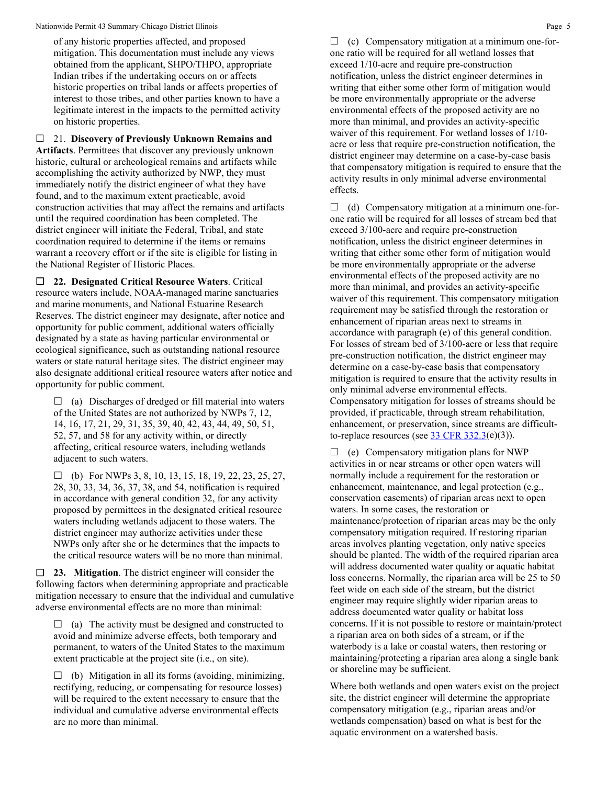of any historic properties affected, and proposed mitigation. This documentation must include any views obtained from the applicant, SHPO/THPO, appropriate Indian tribes if the undertaking occurs on or affects historic properties on tribal lands or affects properties of interest to those tribes, and other parties known to have a legitimate interest in the impacts to the permitted activity on historic properties.

 21. **Discovery of Previously Unknown Remains and Artifacts**. Permittees that discover any previously unknown historic, cultural or archeological remains and artifacts while accomplishing the activity authorized by NWP, they must immediately notify the district engineer of what they have found, and to the maximum extent practicable, avoid construction activities that may affect the remains and artifacts until the required coordination has been completed. The district engineer will initiate the Federal, Tribal, and state coordination required to determine if the items or remains warrant a recovery effort or if the site is eligible for listing in the National Register of Historic Places.

 **22. Designated Critical Resource Waters**. Critical resource waters include, NOAA-managed marine sanctuaries and marine monuments, and National Estuarine Research Reserves. The district engineer may designate, after notice and opportunity for public comment, additional waters officially designated by a state as having particular environmental or ecological significance, such as outstanding national resource waters or state natural heritage sites. The district engineer may also designate additional critical resource waters after notice and opportunity for public comment.

 $\Box$  (a) Discharges of dredged or fill material into waters of the United States are not authorized by NWPs 7, 12, 14, 16, 17, 21, 29, 31, 35, 39, 40, 42, 43, 44, 49, 50, 51, 52, 57, and 58 for any activity within, or directly affecting, critical resource waters, including wetlands adjacent to such waters.

 $\Box$  (b) For NWPs 3, 8, 10, 13, 15, 18, 19, 22, 23, 25, 27, 28, 30, 33, 34, 36, 37, 38, and 54, notification is required in accordance with general condition 32, for any activity proposed by permittees in the designated critical resource waters including wetlands adjacent to those waters. The district engineer may authorize activities under these NWPs only after she or he determines that the impacts to the critical resource waters will be no more than minimal.

 **23. Mitigation**. The district engineer will consider the following factors when determining appropriate and practicable mitigation necessary to ensure that the individual and cumulative adverse environmental effects are no more than minimal:

 $\Box$  (a) The activity must be designed and constructed to avoid and minimize adverse effects, both temporary and permanent, to waters of the United States to the maximum extent practicable at the project site (i.e., on site).

 $\Box$  (b) Mitigation in all its forms (avoiding, minimizing, rectifying, reducing, or compensating for resource losses) will be required to the extent necessary to ensure that the individual and cumulative adverse environmental effects are no more than minimal.

 $\Box$  (c) Compensatory mitigation at a minimum one-forone ratio will be required for all wetland losses that exceed 1/10-acre and require pre-construction notification, unless the district engineer determines in writing that either some other form of mitigation would be more environmentally appropriate or the adverse environmental effects of the proposed activity are no more than minimal, and provides an activity-specific waiver of this requirement. For wetland losses of 1/10 acre or less that require pre-construction notification, the district engineer may determine on a case-by-case basis that compensatory mitigation is required to ensure that the activity results in only minimal adverse environmental effects.

 $\Box$  (d) Compensatory mitigation at a minimum one-forone ratio will be required for all losses of stream bed that exceed 3/100-acre and require pre-construction notification, unless the district engineer determines in writing that either some other form of mitigation would be more environmentally appropriate or the adverse environmental effects of the proposed activity are no more than minimal, and provides an activity-specific waiver of this requirement. This compensatory mitigation requirement may be satisfied through the restoration or enhancement of riparian areas next to streams in accordance with paragraph (e) of this general condition. For losses of stream bed of 3/100-acre or less that require pre-construction notification, the district engineer may determine on a case-by-case basis that compensatory mitigation is required to ensure that the activity results in only minimal adverse environmental effects. Compensatory mitigation for losses of streams should be provided, if practicable, through stream rehabilitation, enhancement, or preservation, since streams are difficultto-replace resources (see  $\frac{33 \text{ CFR } 332.3(e)(3)}{25}$ .

 $\Box$  (e) Compensatory mitigation plans for NWP activities in or near streams or other open waters will normally include a requirement for the restoration or enhancement, maintenance, and legal protection (e.g., conservation easements) of riparian areas next to open waters. In some cases, the restoration or maintenance/protection of riparian areas may be the only compensatory mitigation required. If restoring riparian areas involves planting vegetation, only native species should be planted. The width of the required riparian area will address documented water quality or aquatic habitat loss concerns. Normally, the riparian area will be 25 to 50 feet wide on each side of the stream, but the district engineer may require slightly wider riparian areas to address documented water quality or habitat loss concerns. If it is not possible to restore or maintain/protect a riparian area on both sides of a stream, or if the waterbody is a lake or coastal waters, then restoring or maintaining/protecting a riparian area along a single bank or shoreline may be sufficient.

Where both wetlands and open waters exist on the project site, the district engineer will determine the appropriate compensatory mitigation (e.g., riparian areas and/or wetlands compensation) based on what is best for the aquatic environment on a watershed basis.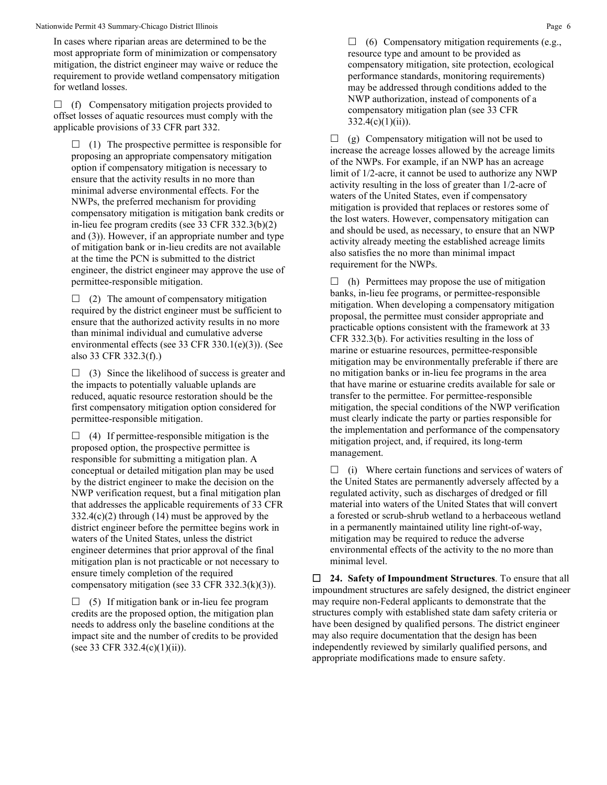In cases where riparian areas are determined to be the most appropriate form of minimization or compensatory mitigation, the district engineer may waive or reduce the requirement to provide wetland compensatory mitigation for wetland losses.

 $\Box$  (f) Compensatory mitigation projects provided to offset losses of aquatic resources must comply with the applicable provisions of 33 CFR part 332.

 $\Box$  (1) The prospective permittee is responsible for proposing an appropriate compensatory mitigation option if compensatory mitigation is necessary to ensure that the activity results in no more than minimal adverse environmental effects. For the NWPs, the preferred mechanism for providing compensatory mitigation is mitigation bank credits or in-lieu fee program credits (see 33 CFR 332.3(b)(2) and (3)). However, if an appropriate number and type of mitigation bank or in-lieu credits are not available at the time the PCN is submitted to the district engineer, the district engineer may approve the use of permittee-responsible mitigation.

 $\Box$  (2) The amount of compensatory mitigation required by the district engineer must be sufficient to ensure that the authorized activity results in no more than minimal individual and cumulative adverse environmental effects (see 33 CFR 330.1(e)(3)). (See also 33 CFR 332.3(f).)

 $\Box$  (3) Since the likelihood of success is greater and the impacts to potentially valuable uplands are reduced, aquatic resource restoration should be the first compensatory mitigation option considered for permittee-responsible mitigation.

 $\Box$  (4) If permittee-responsible mitigation is the proposed option, the prospective permittee is responsible for submitting a mitigation plan. A conceptual or detailed mitigation plan may be used by the district engineer to make the decision on the NWP verification request, but a final mitigation plan that addresses the applicable requirements of 33 CFR 332.4(c)(2) through (14) must be approved by the district engineer before the permittee begins work in waters of the United States, unless the district engineer determines that prior approval of the final mitigation plan is not practicable or not necessary to ensure timely completion of the required compensatory mitigation (see 33 CFR 332.3(k)(3)).

 $\Box$  (5) If mitigation bank or in-lieu fee program credits are the proposed option, the mitigation plan needs to address only the baseline conditions at the impact site and the number of credits to be provided (see 33 CFR 332.4(c)(1)(ii)).

 $\Box$  (6) Compensatory mitigation requirements (e.g., resource type and amount to be provided as compensatory mitigation, site protection, ecological performance standards, monitoring requirements) may be addressed through conditions added to the NWP authorization, instead of components of a compensatory mitigation plan (see 33 CFR  $332.4(c)(1)(ii)$ .

 $\Box$  (g) Compensatory mitigation will not be used to increase the acreage losses allowed by the acreage limits of the NWPs. For example, if an NWP has an acreage limit of 1/2-acre, it cannot be used to authorize any NWP activity resulting in the loss of greater than 1/2-acre of waters of the United States, even if compensatory mitigation is provided that replaces or restores some of the lost waters. However, compensatory mitigation can and should be used, as necessary, to ensure that an NWP activity already meeting the established acreage limits also satisfies the no more than minimal impact requirement for the NWPs.

 $\Box$  (h) Permittees may propose the use of mitigation banks, in-lieu fee programs, or permittee-responsible mitigation. When developing a compensatory mitigation proposal, the permittee must consider appropriate and practicable options consistent with the framework at 33 CFR 332.3(b). For activities resulting in the loss of marine or estuarine resources, permittee-responsible mitigation may be environmentally preferable if there are no mitigation banks or in-lieu fee programs in the area that have marine or estuarine credits available for sale or transfer to the permittee. For permittee-responsible mitigation, the special conditions of the NWP verification must clearly indicate the party or parties responsible for the implementation and performance of the compensatory mitigation project, and, if required, its long-term management.

 $\Box$  (i) Where certain functions and services of waters of the United States are permanently adversely affected by a regulated activity, such as discharges of dredged or fill material into waters of the United States that will convert a forested or scrub-shrub wetland to a herbaceous wetland in a permanently maintained utility line right-of-way, mitigation may be required to reduce the adverse environmental effects of the activity to the no more than minimal level.

 **24. Safety of Impoundment Structures**. To ensure that all impoundment structures are safely designed, the district engineer may require non-Federal applicants to demonstrate that the structures comply with established state dam safety criteria or have been designed by qualified persons. The district engineer may also require documentation that the design has been independently reviewed by similarly qualified persons, and appropriate modifications made to ensure safety.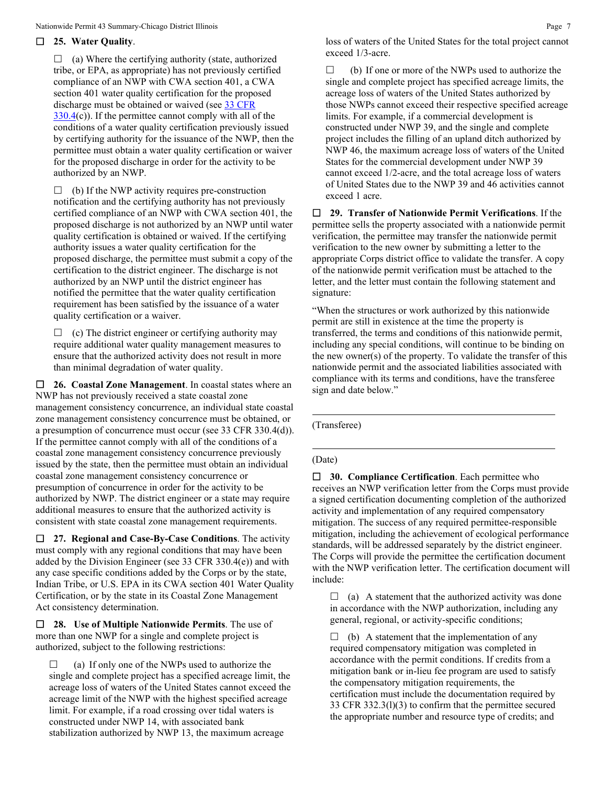## **25. Water Quality**.

 $\Box$  (a) Where the certifying authority (state, authorized tribe, or EPA, as appropriate) has not previously certified compliance of an NWP with CWA section 401, a CWA section 401 water quality certification for the proposed discharge must be obtained or waived (see [33 CFR](https://www.federalregister.gov/select-citation/2021/01/13/33-CFR-330.4)   $330.4(c)$  $330.4(c)$ ). If the permittee cannot comply with all of the conditions of a water quality certification previously issued by certifying authority for the issuance of the NWP, then the permittee must obtain a water quality certification or waiver for the proposed discharge in order for the activity to be authorized by an NWP.

 $\Box$  (b) If the NWP activity requires pre-construction notification and the certifying authority has not previously certified compliance of an NWP with CWA section 401, the proposed discharge is not authorized by an NWP until water quality certification is obtained or waived. If the certifying authority issues a water quality certification for the proposed discharge, the permittee must submit a copy of the certification to the district engineer. The discharge is not authorized by an NWP until the district engineer has notified the permittee that the water quality certification requirement has been satisfied by the issuance of a water quality certification or a waiver.

 $\Box$  (c) The district engineer or certifying authority may require additional water quality management measures to ensure that the authorized activity does not result in more than minimal degradation of water quality.

 **26. Coastal Zone Management**. In coastal states where an NWP has not previously received a state coastal zone management consistency concurrence, an individual state coastal zone management consistency concurrence must be obtained, or a presumption of concurrence must occur (see 33 CFR 330.4(d)). If the permittee cannot comply with all of the conditions of a coastal zone management consistency concurrence previously issued by the state, then the permittee must obtain an individual coastal zone management consistency concurrence or presumption of concurrence in order for the activity to be authorized by NWP. The district engineer or a state may require additional measures to ensure that the authorized activity is consistent with state coastal zone management requirements.

 **27. Regional and Case-By-Case Conditions**. The activity must comply with any regional conditions that may have been added by the Division Engineer (see 33 CFR 330.4(e)) and with any case specific conditions added by the Corps or by the state, Indian Tribe, or U.S. EPA in its CWA section 401 Water Quality Certification, or by the state in its Coastal Zone Management Act consistency determination.

 **28. Use of Multiple Nationwide Permits**. The use of more than one NWP for a single and complete project is authorized, subject to the following restrictions:

 $\Box$  (a) If only one of the NWPs used to authorize the single and complete project has a specified acreage limit, the acreage loss of waters of the United States cannot exceed the acreage limit of the NWP with the highest specified acreage limit. For example, if a road crossing over tidal waters is constructed under NWP 14, with associated bank stabilization authorized by NWP 13, the maximum acreage

 $\Box$  (b) If one or more of the NWPs used to authorize the single and complete project has specified acreage limits, the acreage loss of waters of the United States authorized by those NWPs cannot exceed their respective specified acreage limits. For example, if a commercial development is constructed under NWP 39, and the single and complete project includes the filling of an upland ditch authorized by NWP 46, the maximum acreage loss of waters of the United States for the commercial development under NWP 39 cannot exceed 1/2-acre, and the total acreage loss of waters of United States due to the NWP 39 and 46 activities cannot exceed 1 acre.

 **29. Transfer of Nationwide Permit Verifications**. If the permittee sells the property associated with a nationwide permit verification, the permittee may transfer the nationwide permit verification to the new owner by submitting a letter to the appropriate Corps district office to validate the transfer. A copy of the nationwide permit verification must be attached to the letter, and the letter must contain the following statement and signature:

"When the structures or work authorized by this nationwide permit are still in existence at the time the property is transferred, the terms and conditions of this nationwide permit, including any special conditions, will continue to be binding on the new owner(s) of the property. To validate the transfer of this nationwide permit and the associated liabilities associated with compliance with its terms and conditions, have the transferee sign and date below."

(Transferee)

#### (Date)

 **30. Compliance Certification**. Each permittee who receives an NWP verification letter from the Corps must provide a signed certification documenting completion of the authorized activity and implementation of any required compensatory mitigation. The success of any required permittee-responsible mitigation, including the achievement of ecological performance standards, will be addressed separately by the district engineer. The Corps will provide the permittee the certification document with the NWP verification letter. The certification document will include:

 $\Box$  (a) A statement that the authorized activity was done in accordance with the NWP authorization, including any general, regional, or activity-specific conditions;

 $\Box$  (b) A statement that the implementation of any required compensatory mitigation was completed in accordance with the permit conditions. If credits from a mitigation bank or in-lieu fee program are used to satisfy the compensatory mitigation requirements, the certification must include the documentation required by 33 CFR 332.3(l)(3) to confirm that the permittee secured the appropriate number and resource type of credits; and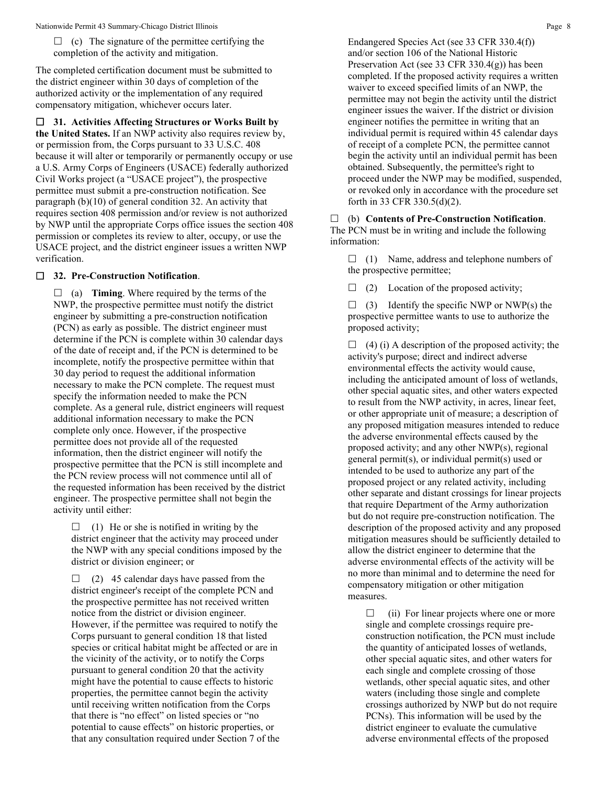$\Box$  (c) The signature of the permittee certifying the completion of the activity and mitigation.

The completed certification document must be submitted to the district engineer within 30 days of completion of the authorized activity or the implementation of any required compensatory mitigation, whichever occurs later.

 **31. Activities Affecting Structures or Works Built by the United States.** If an NWP activity also requires review by, or permission from, the Corps pursuant to 33 U.S.C. 408 because it will alter or temporarily or permanently occupy or use a U.S. Army Corps of Engineers (USACE) federally authorized Civil Works project (a "USACE project"), the prospective permittee must submit a pre-construction notification. See paragraph (b)(10) of general condition 32. An activity that requires section 408 permission and/or review is not authorized by NWP until the appropriate Corps office issues the section 408 permission or completes its review to alter, occupy, or use the USACE project, and the district engineer issues a written NWP verification.

# **32. Pre-Construction Notification**.

 $\Box$  (a) **Timing**. Where required by the terms of the NWP, the prospective permittee must notify the district engineer by submitting a pre-construction notification (PCN) as early as possible. The district engineer must determine if the PCN is complete within 30 calendar days of the date of receipt and, if the PCN is determined to be incomplete, notify the prospective permittee within that 30 day period to request the additional information necessary to make the PCN complete. The request must specify the information needed to make the PCN complete. As a general rule, district engineers will request additional information necessary to make the PCN complete only once. However, if the prospective permittee does not provide all of the requested information, then the district engineer will notify the prospective permittee that the PCN is still incomplete and the PCN review process will not commence until all of the requested information has been received by the district engineer. The prospective permittee shall not begin the activity until either:

 $\Box$  (1) He or she is notified in writing by the district engineer that the activity may proceed under the NWP with any special conditions imposed by the district or division engineer; or

 $\Box$  (2) 45 calendar days have passed from the district engineer's receipt of the complete PCN and the prospective permittee has not received written notice from the district or division engineer. However, if the permittee was required to notify the Corps pursuant to general condition 18 that listed species or critical habitat might be affected or are in the vicinity of the activity, or to notify the Corps pursuant to general condition 20 that the activity might have the potential to cause effects to historic properties, the permittee cannot begin the activity until receiving written notification from the Corps that there is "no effect" on listed species or "no potential to cause effects" on historic properties, or that any consultation required under Section 7 of the Endangered Species Act (see 33 CFR 330.4(f)) and/or section 106 of the National Historic Preservation Act (see 33 CFR 330.4(g)) has been completed. If the proposed activity requires a written waiver to exceed specified limits of an NWP, the permittee may not begin the activity until the district engineer issues the waiver. If the district or division engineer notifies the permittee in writing that an individual permit is required within 45 calendar days of receipt of a complete PCN, the permittee cannot begin the activity until an individual permit has been obtained. Subsequently, the permittee's right to proceed under the NWP may be modified, suspended, or revoked only in accordance with the procedure set forth in 33 CFR 330.5(d)(2).

 (b) **Contents of Pre-Construction Notification**. The PCN must be in writing and include the following information:

 $\Box$  (1) Name, address and telephone numbers of the prospective permittee;

 $\Box$  (2) Location of the proposed activity;

 $\Box$  (3) Identify the specific NWP or NWP(s) the prospective permittee wants to use to authorize the proposed activity;

 $\Box$  (4) (i) A description of the proposed activity; the activity's purpose; direct and indirect adverse environmental effects the activity would cause, including the anticipated amount of loss of wetlands, other special aquatic sites, and other waters expected to result from the NWP activity, in acres, linear feet, or other appropriate unit of measure; a description of any proposed mitigation measures intended to reduce the adverse environmental effects caused by the proposed activity; and any other NWP(s), regional general permit(s), or individual permit(s) used or intended to be used to authorize any part of the proposed project or any related activity, including other separate and distant crossings for linear projects that require Department of the Army authorization but do not require pre-construction notification. The description of the proposed activity and any proposed mitigation measures should be sufficiently detailed to allow the district engineer to determine that the adverse environmental effects of the activity will be no more than minimal and to determine the need for compensatory mitigation or other mitigation measures.

 $\Box$  (ii) For linear projects where one or more single and complete crossings require preconstruction notification, the PCN must include the quantity of anticipated losses of wetlands, other special aquatic sites, and other waters for each single and complete crossing of those wetlands, other special aquatic sites, and other waters (including those single and complete crossings authorized by NWP but do not require PCNs). This information will be used by the district engineer to evaluate the cumulative adverse environmental effects of the proposed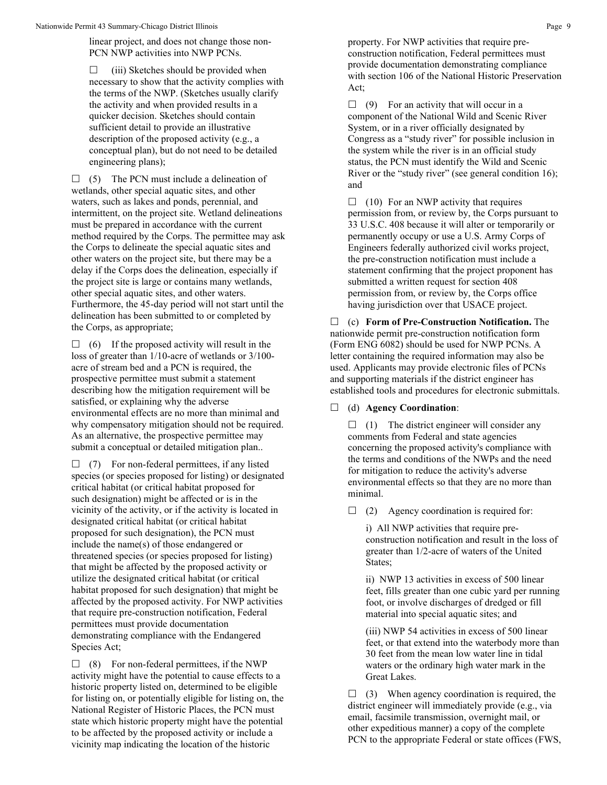linear project, and does not change those non-PCN NWP activities into NWP PCNs.

 $\Box$  (iii) Sketches should be provided when necessary to show that the activity complies with the terms of the NWP. (Sketches usually clarify the activity and when provided results in a quicker decision. Sketches should contain sufficient detail to provide an illustrative description of the proposed activity (e.g., a conceptual plan), but do not need to be detailed engineering plans);

 $\Box$  (5) The PCN must include a delineation of wetlands, other special aquatic sites, and other waters, such as lakes and ponds, perennial, and intermittent, on the project site. Wetland delineations must be prepared in accordance with the current method required by the Corps. The permittee may ask the Corps to delineate the special aquatic sites and other waters on the project site, but there may be a delay if the Corps does the delineation, especially if the project site is large or contains many wetlands, other special aquatic sites, and other waters. Furthermore, the 45-day period will not start until the delineation has been submitted to or completed by the Corps, as appropriate;

 $\Box$  (6) If the proposed activity will result in the loss of greater than 1/10-acre of wetlands or 3/100 acre of stream bed and a PCN is required, the prospective permittee must submit a statement describing how the mitigation requirement will be satisfied, or explaining why the adverse environmental effects are no more than minimal and why compensatory mitigation should not be required. As an alternative, the prospective permittee may submit a conceptual or detailed mitigation plan..

 $\Box$  (7) For non-federal permittees, if any listed species (or species proposed for listing) or designated critical habitat (or critical habitat proposed for such designation) might be affected or is in the vicinity of the activity, or if the activity is located in designated critical habitat (or critical habitat proposed for such designation), the PCN must include the name(s) of those endangered or threatened species (or species proposed for listing) that might be affected by the proposed activity or utilize the designated critical habitat (or critical habitat proposed for such designation) that might be affected by the proposed activity. For NWP activities that require pre-construction notification, Federal permittees must provide documentation demonstrating compliance with the Endangered Species Act;

 $\Box$  (8) For non-federal permittees, if the NWP activity might have the potential to cause effects to a historic property listed on, determined to be eligible for listing on, or potentially eligible for listing on, the National Register of Historic Places, the PCN must state which historic property might have the potential to be affected by the proposed activity or include a vicinity map indicating the location of the historic

property. For NWP activities that require preconstruction notification, Federal permittees must provide documentation demonstrating compliance with section 106 of the National Historic Preservation Act;

 $\Box$  (9) For an activity that will occur in a component of the National Wild and Scenic River System, or in a river officially designated by Congress as a "study river" for possible inclusion in the system while the river is in an official study status, the PCN must identify the Wild and Scenic River or the "study river" (see general condition 16); and

 $\Box$  (10) For an NWP activity that requires permission from, or review by, the Corps pursuant to 33 U.S.C. 408 because it will alter or temporarily or permanently occupy or use a U.S. Army Corps of Engineers federally authorized civil works project, the pre-construction notification must include a statement confirming that the project proponent has submitted a written request for section 408 permission from, or review by, the Corps office having jurisdiction over that USACE project.

 (c) **Form of Pre-Construction Notification.** The nationwide permit pre-construction notification form (Form ENG 6082) should be used for NWP PCNs. A letter containing the required information may also be used. Applicants may provide electronic files of PCNs and supporting materials if the district engineer has established tools and procedures for electronic submittals.

(d) **Agency Coordination**:

 $\Box$  (1) The district engineer will consider any comments from Federal and state agencies concerning the proposed activity's compliance with the terms and conditions of the NWPs and the need for mitigation to reduce the activity's adverse environmental effects so that they are no more than minimal.

 $\Box$  (2) Agency coordination is required for:

i) All NWP activities that require preconstruction notification and result in the loss of greater than 1/2-acre of waters of the United States;

ii) NWP 13 activities in excess of 500 linear feet, fills greater than one cubic yard per running foot, or involve discharges of dredged or fill material into special aquatic sites; and

(iii) NWP 54 activities in excess of 500 linear feet, or that extend into the waterbody more than 30 feet from the mean low water line in tidal waters or the ordinary high water mark in the Great Lakes.

 $\Box$  (3) When agency coordination is required, the district engineer will immediately provide (e.g., via email, facsimile transmission, overnight mail, or other expeditious manner) a copy of the complete PCN to the appropriate Federal or state offices (FWS,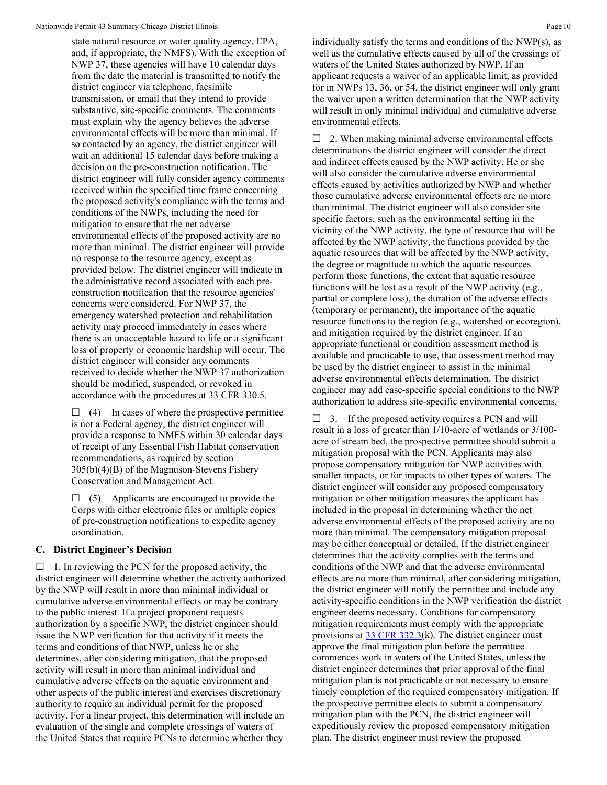state natural resource or water quality agency, EPA, and, if appropriate, the NMFS). With the exception of NWP 37, these agencies will have 10 calendar days from the date the material is transmitted to notify the district engineer via telephone, facsimile transmission, or email that they intend to provide substantive, site-specific comments. The comments must explain why the agency believes the adverse environmental effects will be more than minimal. If so contacted by an agency, the district engineer will wait an additional 15 calendar days before making a decision on the pre-construction notification. The district engineer will fully consider agency comments received within the specified time frame concerning the proposed activity's compliance with the terms and conditions of the NWPs, including the need for mitigation to ensure that the net adverse environmental effects of the proposed activity are no more than minimal. The district engineer will provide no response to the resource agency, except as provided below. The district engineer will indicate in the administrative record associated with each preconstruction notification that the resource agencies' concerns were considered. For NWP 37, the emergency watershed protection and rehabilitation activity may proceed immediately in cases where there is an unacceptable hazard to life or a significant loss of property or economic hardship will occur. The district engineer will consider any comments received to decide whether the NWP 37 authorization should be modified, suspended, or revoked in accordance with the procedures at 33 CFR 330.5.

 $\Box$  (4) In cases of where the prospective permittee is not a Federal agency, the district engineer will provide a response to NMFS within 30 calendar days of receipt of any Essential Fish Habitat conservation recommendations, as required by section 305(b)(4)(B) of the Magnuson-Stevens Fishery Conservation and Management Act.

 $\Box$  (5) Applicants are encouraged to provide the Corps with either electronic files or multiple copies of pre-construction notifications to expedite agency coordination.

## **C. District Engineer's Decision**

 $\Box$  1. In reviewing the PCN for the proposed activity, the district engineer will determine whether the activity authorized by the NWP will result in more than minimal individual or cumulative adverse environmental effects or may be contrary to the public interest. If a project proponent requests authorization by a specific NWP, the district engineer should issue the NWP verification for that activity if it meets the terms and conditions of that NWP, unless he or she determines, after considering mitigation, that the proposed activity will result in more than minimal individual and cumulative adverse effects on the aquatic environment and other aspects of the public interest and exercises discretionary authority to require an individual permit for the proposed activity. For a linear project, this determination will include an evaluation of the single and complete crossings of waters of the United States that require PCNs to determine whether they

individually satisfy the terms and conditions of the NWP(s), as well as the cumulative effects caused by all of the crossings of waters of the United States authorized by NWP. If an applicant requests a waiver of an applicable limit, as provided for in NWPs 13, 36, or 54, the district engineer will only grant the waiver upon a written determination that the NWP activity will result in only minimal individual and cumulative adverse environmental effects.

 $\Box$  2. When making minimal adverse environmental effects determinations the district engineer will consider the direct and indirect effects caused by the NWP activity. He or she will also consider the cumulative adverse environmental effects caused by activities authorized by NWP and whether those cumulative adverse environmental effects are no more than minimal. The district engineer will also consider site specific factors, such as the environmental setting in the vicinity of the NWP activity, the type of resource that will be affected by the NWP activity, the functions provided by the aquatic resources that will be affected by the NWP activity, the degree or magnitude to which the aquatic resources perform those functions, the extent that aquatic resource functions will be lost as a result of the NWP activity (e.g., partial or complete loss), the duration of the adverse effects (temporary or permanent), the importance of the aquatic resource functions to the region (e.g., watershed or ecoregion), and mitigation required by the district engineer. If an appropriate functional or condition assessment method is available and practicable to use, that assessment method may be used by the district engineer to assist in the minimal adverse environmental effects determination. The district engineer may add case-specific special conditions to the NWP authorization to address site-specific environmental concerns.

 $\Box$  3. If the proposed activity requires a PCN and will result in a loss of greater than 1/10-acre of wetlands or 3/100 acre of stream bed, the prospective permittee should submit a mitigation proposal with the PCN. Applicants may also propose compensatory mitigation for NWP activities with smaller impacts, or for impacts to other types of waters. The district engineer will consider any proposed compensatory mitigation or other mitigation measures the applicant has included in the proposal in determining whether the net adverse environmental effects of the proposed activity are no more than minimal. The compensatory mitigation proposal may be either conceptual or detailed. If the district engineer determines that the activity complies with the terms and conditions of the NWP and that the adverse environmental effects are no more than minimal, after considering mitigation, the district engineer will notify the permittee and include any activity-specific conditions in the NWP verification the district engineer deems necessary. Conditions for compensatory mitigation requirements must comply with the appropriate provisions at  $33 \text{ CFR } 332.3(k)$ . The district engineer must approve the final mitigation plan before the permittee commences work in waters of the United States, unless the district engineer determines that prior approval of the final mitigation plan is not practicable or not necessary to ensure timely completion of the required compensatory mitigation. If the prospective permittee elects to submit a compensatory mitigation plan with the PCN, the district engineer will expeditiously review the proposed compensatory mitigation plan. The district engineer must review the proposed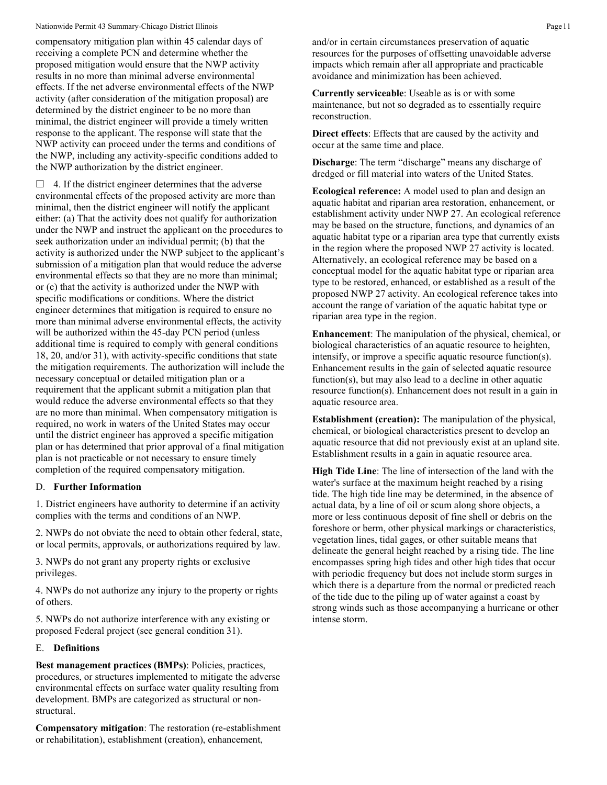compensatory mitigation plan within 45 calendar days of receiving a complete PCN and determine whether the proposed mitigation would ensure that the NWP activity results in no more than minimal adverse environmental effects. If the net adverse environmental effects of the NWP activity (after consideration of the mitigation proposal) are determined by the district engineer to be no more than minimal, the district engineer will provide a timely written response to the applicant. The response will state that the NWP activity can proceed under the terms and conditions of the NWP, including any activity-specific conditions added to the NWP authorization by the district engineer.

 $\Box$  4. If the district engineer determines that the adverse environmental effects of the proposed activity are more than minimal, then the district engineer will notify the applicant either: (a) That the activity does not qualify for authorization under the NWP and instruct the applicant on the procedures to seek authorization under an individual permit; (b) that the activity is authorized under the NWP subject to the applicant's submission of a mitigation plan that would reduce the adverse environmental effects so that they are no more than minimal; or (c) that the activity is authorized under the NWP with specific modifications or conditions. Where the district engineer determines that mitigation is required to ensure no more than minimal adverse environmental effects, the activity will be authorized within the 45-day PCN period (unless additional time is required to comply with general conditions 18, 20, and/or 31), with activity-specific conditions that state the mitigation requirements. The authorization will include the necessary conceptual or detailed mitigation plan or a requirement that the applicant submit a mitigation plan that would reduce the adverse environmental effects so that they are no more than minimal. When compensatory mitigation is required, no work in waters of the United States may occur until the district engineer has approved a specific mitigation plan or has determined that prior approval of a final mitigation plan is not practicable or not necessary to ensure timely completion of the required compensatory mitigation.

# D. **Further Information**

1. District engineers have authority to determine if an activity complies with the terms and conditions of an NWP.

2. NWPs do not obviate the need to obtain other federal, state, or local permits, approvals, or authorizations required by law.

3. NWPs do not grant any property rights or exclusive privileges.

4. NWPs do not authorize any injury to the property or rights of others.

5. NWPs do not authorize interference with any existing or proposed Federal project (see general condition 31).

#### E. **Definitions**

**Best management practices (BMPs)**: Policies, practices, procedures, or structures implemented to mitigate the adverse environmental effects on surface water quality resulting from development. BMPs are categorized as structural or nonstructural.

**Compensatory mitigation**: The restoration (re-establishment or rehabilitation), establishment (creation), enhancement,

and/or in certain circumstances preservation of aquatic resources for the purposes of offsetting unavoidable adverse impacts which remain after all appropriate and practicable avoidance and minimization has been achieved.

**Currently serviceable**: Useable as is or with some maintenance, but not so degraded as to essentially require reconstruction.

**Direct effects**: Effects that are caused by the activity and occur at the same time and place.

**Discharge**: The term "discharge" means any discharge of dredged or fill material into waters of the United States.

**Ecological reference:** A model used to plan and design an aquatic habitat and riparian area restoration, enhancement, or establishment activity under NWP 27. An ecological reference may be based on the structure, functions, and dynamics of an aquatic habitat type or a riparian area type that currently exists in the region where the proposed NWP 27 activity is located. Alternatively, an ecological reference may be based on a conceptual model for the aquatic habitat type or riparian area type to be restored, enhanced, or established as a result of the proposed NWP 27 activity. An ecological reference takes into account the range of variation of the aquatic habitat type or riparian area type in the region.

**Enhancement**: The manipulation of the physical, chemical, or biological characteristics of an aquatic resource to heighten, intensify, or improve a specific aquatic resource function(s). Enhancement results in the gain of selected aquatic resource function(s), but may also lead to a decline in other aquatic resource function(s). Enhancement does not result in a gain in aquatic resource area.

**Establishment (creation):** The manipulation of the physical, chemical, or biological characteristics present to develop an aquatic resource that did not previously exist at an upland site. Establishment results in a gain in aquatic resource area.

**High Tide Line**: The line of intersection of the land with the water's surface at the maximum height reached by a rising tide. The high tide line may be determined, in the absence of actual data, by a line of oil or scum along shore objects, a more or less continuous deposit of fine shell or debris on the foreshore or berm, other physical markings or characteristics, vegetation lines, tidal gages, or other suitable means that delineate the general height reached by a rising tide. The line encompasses spring high tides and other high tides that occur with periodic frequency but does not include storm surges in which there is a departure from the normal or predicted reach of the tide due to the piling up of water against a coast by strong winds such as those accompanying a hurricane or other intense storm.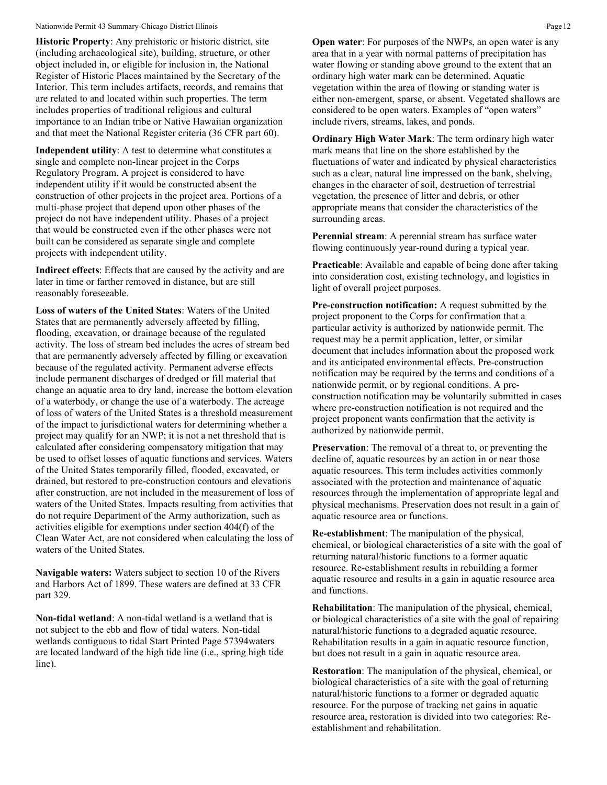**Historic Property**: Any prehistoric or historic district, site (including archaeological site), building, structure, or other object included in, or eligible for inclusion in, the National Register of Historic Places maintained by the Secretary of the Interior. This term includes artifacts, records, and remains that are related to and located within such properties. The term includes properties of traditional religious and cultural importance to an Indian tribe or Native Hawaiian organization and that meet the National Register criteria (36 CFR part 60).

**Independent utility**: A test to determine what constitutes a single and complete non-linear project in the Corps Regulatory Program. A project is considered to have independent utility if it would be constructed absent the construction of other projects in the project area. Portions of a multi-phase project that depend upon other phases of the project do not have independent utility. Phases of a project that would be constructed even if the other phases were not built can be considered as separate single and complete projects with independent utility.

**Indirect effects**: Effects that are caused by the activity and are later in time or farther removed in distance, but are still reasonably foreseeable.

**Loss of waters of the United States**: Waters of the United States that are permanently adversely affected by filling, flooding, excavation, or drainage because of the regulated activity. The loss of stream bed includes the acres of stream bed that are permanently adversely affected by filling or excavation because of the regulated activity. Permanent adverse effects include permanent discharges of dredged or fill material that change an aquatic area to dry land, increase the bottom elevation of a waterbody, or change the use of a waterbody. The acreage of loss of waters of the United States is a threshold measurement of the impact to jurisdictional waters for determining whether a project may qualify for an NWP; it is not a net threshold that is calculated after considering compensatory mitigation that may be used to offset losses of aquatic functions and services. Waters of the United States temporarily filled, flooded, excavated, or drained, but restored to pre-construction contours and elevations after construction, are not included in the measurement of loss of waters of the United States. Impacts resulting from activities that do not require Department of the Army authorization, such as activities eligible for exemptions under section 404(f) of the Clean Water Act, are not considered when calculating the loss of waters of the United States.

**Navigable waters:** Waters subject to section 10 of the Rivers and Harbors Act of 1899. These waters are defined at 33 CFR part 329.

**Non-tidal wetland**: A non-tidal wetland is a wetland that is not subject to the ebb and flow of tidal waters. Non-tidal wetlands contiguous to tidal Start Printed Page 57394waters are located landward of the high tide line (i.e., spring high tide line).

**Open water**: For purposes of the NWPs, an open water is any area that in a year with normal patterns of precipitation has water flowing or standing above ground to the extent that an ordinary high water mark can be determined. Aquatic vegetation within the area of flowing or standing water is either non-emergent, sparse, or absent. Vegetated shallows are considered to be open waters. Examples of "open waters" include rivers, streams, lakes, and ponds.

**Ordinary High Water Mark**: The term ordinary high water mark means that line on the shore established by the fluctuations of water and indicated by physical characteristics such as a clear, natural line impressed on the bank, shelving, changes in the character of soil, destruction of terrestrial vegetation, the presence of litter and debris, or other appropriate means that consider the characteristics of the surrounding areas.

**Perennial stream**: A perennial stream has surface water flowing continuously year-round during a typical year.

**Practicable**: Available and capable of being done after taking into consideration cost, existing technology, and logistics in light of overall project purposes.

**Pre-construction notification:** A request submitted by the project proponent to the Corps for confirmation that a particular activity is authorized by nationwide permit. The request may be a permit application, letter, or similar document that includes information about the proposed work and its anticipated environmental effects. Pre-construction notification may be required by the terms and conditions of a nationwide permit, or by regional conditions. A preconstruction notification may be voluntarily submitted in cases where pre-construction notification is not required and the project proponent wants confirmation that the activity is authorized by nationwide permit.

**Preservation**: The removal of a threat to, or preventing the decline of, aquatic resources by an action in or near those aquatic resources. This term includes activities commonly associated with the protection and maintenance of aquatic resources through the implementation of appropriate legal and physical mechanisms. Preservation does not result in a gain of aquatic resource area or functions.

**Re-establishment**: The manipulation of the physical, chemical, or biological characteristics of a site with the goal of returning natural/historic functions to a former aquatic resource. Re-establishment results in rebuilding a former aquatic resource and results in a gain in aquatic resource area and functions.

**Rehabilitation**: The manipulation of the physical, chemical, or biological characteristics of a site with the goal of repairing natural/historic functions to a degraded aquatic resource. Rehabilitation results in a gain in aquatic resource function, but does not result in a gain in aquatic resource area.

**Restoration**: The manipulation of the physical, chemical, or biological characteristics of a site with the goal of returning natural/historic functions to a former or degraded aquatic resource. For the purpose of tracking net gains in aquatic resource area, restoration is divided into two categories: Reestablishment and rehabilitation.